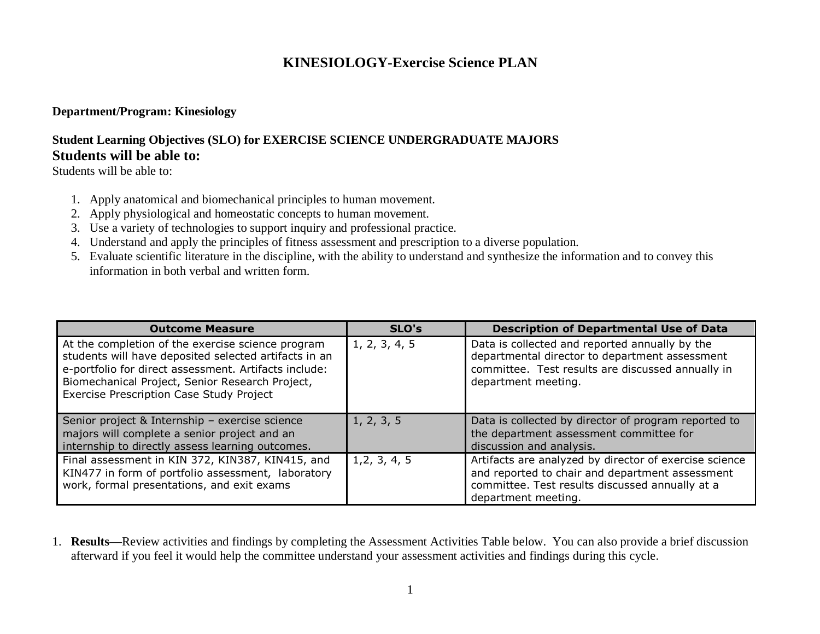# **KINESIOLOGY-Exercise Science PLAN**

#### **Department/Program: Kinesiology**

## **Student Learning Objectives (SLO) for EXERCISE SCIENCE UNDERGRADUATE MAJORS Students will be able to:**

Students will be able to:

- 1. Apply anatomical and biomechanical principles to human movement.
- 2. Apply physiological and homeostatic concepts to human movement.
- 3. Use a variety of technologies to support inquiry and professional practice.
- 4. Understand and apply the principles of fitness assessment and prescription to a diverse population.
- 5. Evaluate scientific literature in the discipline, with the ability to understand and synthesize the information and to convey this information in both verbal and written form.

| <b>Outcome Measure</b>                                                                                                                                                                                                                                             | SLO's         | <b>Description of Departmental Use of Data</b>                                                                                                                                      |
|--------------------------------------------------------------------------------------------------------------------------------------------------------------------------------------------------------------------------------------------------------------------|---------------|-------------------------------------------------------------------------------------------------------------------------------------------------------------------------------------|
| At the completion of the exercise science program<br>students will have deposited selected artifacts in an<br>e-portfolio for direct assessment. Artifacts include:<br>Biomechanical Project, Senior Research Project,<br>Exercise Prescription Case Study Project | 1, 2, 3, 4, 5 | Data is collected and reported annually by the<br>departmental director to department assessment<br>committee. Test results are discussed annually in<br>department meeting.        |
| Senior project & Internship - exercise science<br>majors will complete a senior project and an<br>internship to directly assess learning outcomes.                                                                                                                 | 1, 2, 3, 5    | Data is collected by director of program reported to<br>the department assessment committee for<br>discussion and analysis.                                                         |
| Final assessment in KIN 372, KIN387, KIN415, and<br>KIN477 in form of portfolio assessment, laboratory<br>work, formal presentations, and exit exams                                                                                                               | 1, 2, 3, 4, 5 | Artifacts are analyzed by director of exercise science<br>and reported to chair and department assessment<br>committee. Test results discussed annually at a<br>department meeting. |

1. **Results—**Review activities and findings by completing the Assessment Activities Table below. You can also provide a brief discussion afterward if you feel it would help the committee understand your assessment activities and findings during this cycle.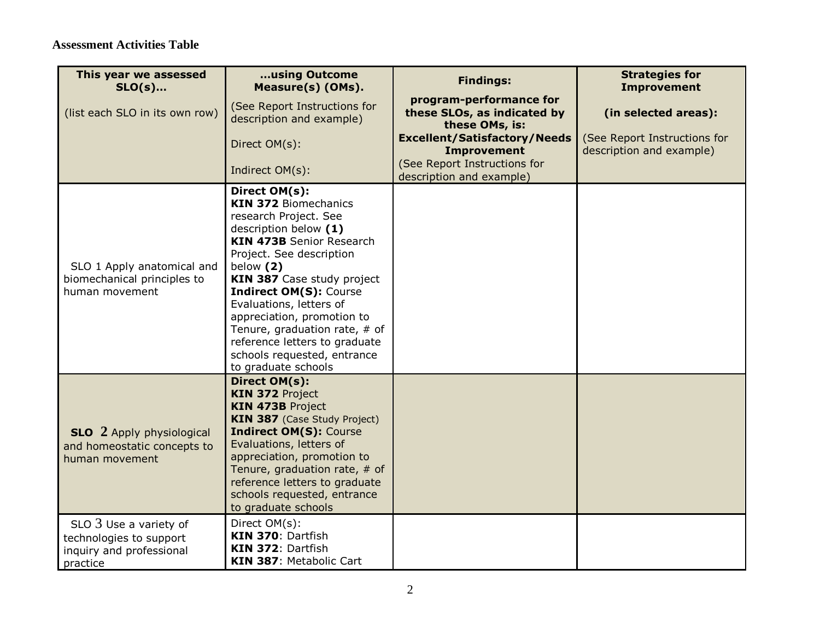| This year we assessed<br>$SLO(s)$                                                          | using Outcome<br>Measure(s) (OMs).                                                                                                                                                                                                                                                                                                                                                                                           | <b>Findings:</b>                                                         | <b>Strategies for</b><br><b>Improvement</b>              |
|--------------------------------------------------------------------------------------------|------------------------------------------------------------------------------------------------------------------------------------------------------------------------------------------------------------------------------------------------------------------------------------------------------------------------------------------------------------------------------------------------------------------------------|--------------------------------------------------------------------------|----------------------------------------------------------|
| (list each SLO in its own row)                                                             | (See Report Instructions for<br>description and example)                                                                                                                                                                                                                                                                                                                                                                     | program-performance for<br>these SLOs, as indicated by<br>these OMs, is: | (in selected areas):                                     |
|                                                                                            | Direct OM(s):                                                                                                                                                                                                                                                                                                                                                                                                                | <b>Excellent/Satisfactory/Needs</b><br><b>Improvement</b>                | (See Report Instructions for<br>description and example) |
|                                                                                            | Indirect OM(s):                                                                                                                                                                                                                                                                                                                                                                                                              | (See Report Instructions for<br>description and example)                 |                                                          |
| SLO 1 Apply anatomical and<br>biomechanical principles to<br>human movement                | Direct OM(s):<br><b>KIN 372 Biomechanics</b><br>research Project. See<br>description below (1)<br><b>KIN 473B</b> Senior Research<br>Project. See description<br>below (2)<br>KIN 387 Case study project<br><b>Indirect OM(S): Course</b><br>Evaluations, letters of<br>appreciation, promotion to<br>Tenure, graduation rate, $#$ of<br>reference letters to graduate<br>schools requested, entrance<br>to graduate schools |                                                                          |                                                          |
| <b>SLO</b> 2 Apply physiological<br>and homeostatic concepts to<br>human movement          | Direct OM(s):<br><b>KIN 372 Project</b><br><b>KIN 473B Project</b><br><b>KIN 387</b> (Case Study Project)<br><b>Indirect OM(S): Course</b><br>Evaluations, letters of<br>appreciation, promotion to<br>Tenure, graduation rate, # of<br>reference letters to graduate<br>schools requested, entrance<br>to graduate schools                                                                                                  |                                                                          |                                                          |
| $SLO3$ Use a variety of<br>technologies to support<br>inquiry and professional<br>practice | Direct OM(s):<br>KIN 370: Dartfish<br>KIN 372: Dartfish<br>KIN 387: Metabolic Cart                                                                                                                                                                                                                                                                                                                                           |                                                                          |                                                          |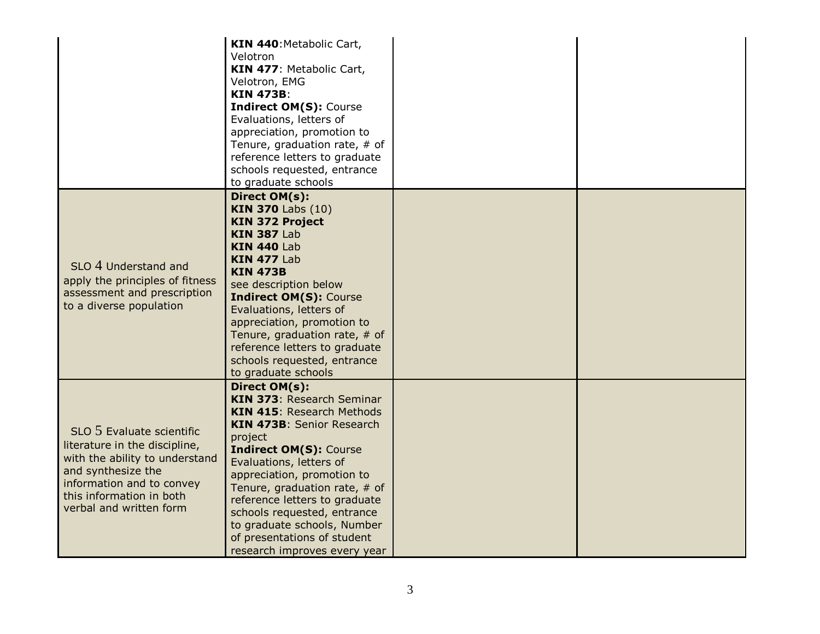|                                                                                                                                                                                                        | KIN 440: Metabolic Cart,<br>Velotron<br>KIN 477: Metabolic Cart,<br>Velotron, EMG<br><b>KIN 473B:</b><br><b>Indirect OM(S): Course</b><br>Evaluations, letters of<br>appreciation, promotion to<br>Tenure, graduation rate, $#$ of<br>reference letters to graduate<br>schools requested, entrance<br>to graduate schools                                                                                       |  |
|--------------------------------------------------------------------------------------------------------------------------------------------------------------------------------------------------------|-----------------------------------------------------------------------------------------------------------------------------------------------------------------------------------------------------------------------------------------------------------------------------------------------------------------------------------------------------------------------------------------------------------------|--|
| SLO 4 Understand and<br>apply the principles of fitness<br>assessment and prescription<br>to a diverse population                                                                                      | Direct OM(s):<br><b>KIN 370 Labs (10)</b><br><b>KIN 372 Project</b><br><b>KIN 387 Lab</b><br><b>KIN 440 Lab</b><br><b>KIN 477 Lab</b><br><b>KIN 473B</b><br>see description below<br><b>Indirect OM(S): Course</b><br>Evaluations, letters of<br>appreciation, promotion to<br>Tenure, graduation rate, # of<br>reference letters to graduate<br>schools requested, entrance<br>to graduate schools             |  |
| SLO 5 Evaluate scientific<br>literature in the discipline,<br>with the ability to understand<br>and synthesize the<br>information and to convey<br>this information in both<br>verbal and written form | Direct OM(s):<br>KIN 373: Research Seminar<br><b>KIN 415: Research Methods</b><br>KIN 473B: Senior Research<br>project<br><b>Indirect OM(S): Course</b><br>Evaluations, letters of<br>appreciation, promotion to<br>Tenure, graduation rate, # of<br>reference letters to graduate<br>schools requested, entrance<br>to graduate schools, Number<br>of presentations of student<br>research improves every year |  |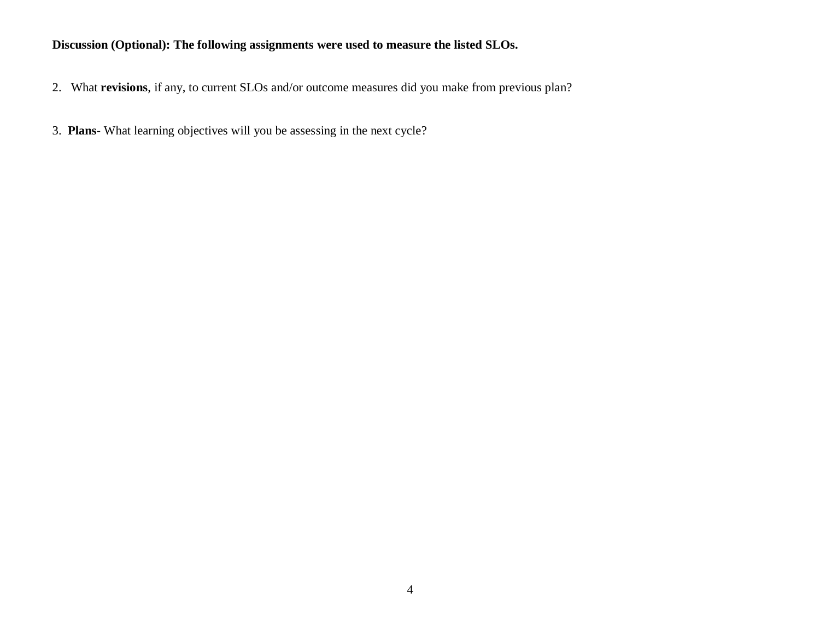### **Discussion (Optional): The following assignments were used to measure the listed SLOs.**

- 2. What **revisions**, if any, to current SLOs and/or outcome measures did you make from previous plan?
- 3. **Plans** What learning objectives will you be assessing in the next cycle?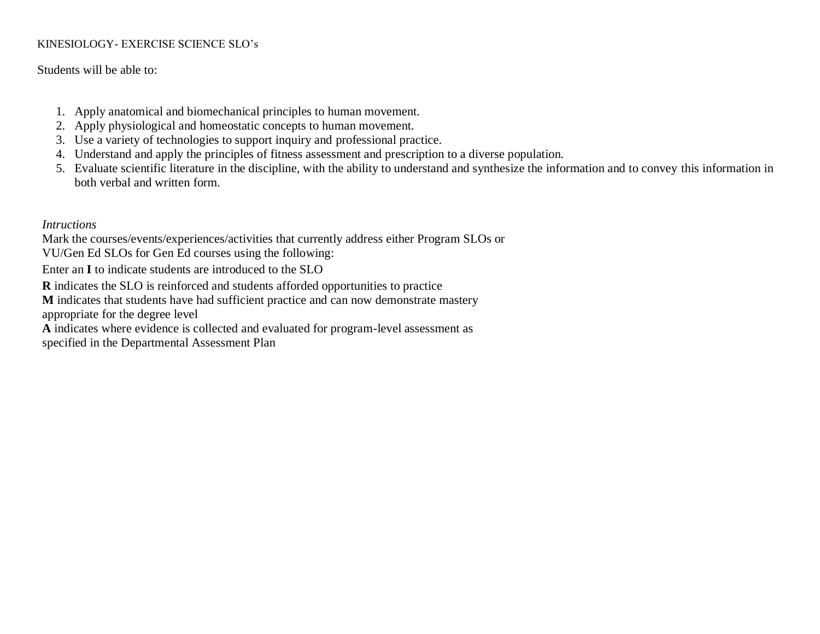### KINESIOLOGY- EXERCISE SCIENCE SLO's

Students will be able to:

- 1. Apply anatomical and biomechanical principles to human movement.
- 2. Apply physiological and homeostatic concepts to human movement.
- 3. Use a variety of technologies to support inquiry and professional practice.
- 4. Understand and apply the principles of fitness assessment and prescription to a diverse population.
- 5. Evaluate scientific literature in the discipline, with the ability to understand and synthesize the information and to convey this information in both verbal and written form.

*Intructions*

Mark the courses/events/experiences/activities that currently address either Program SLOs or

VU/Gen Ed SLOs for Gen Ed courses using the following:

Enter an **I** to indicate students are introduced to the SLO

**R** indicates the SLO is reinforced and students afforded opportunities to practice

**M** indicates that students have had sufficient practice and can now demonstrate mastery

appropriate for the degree level

**A** indicates where evidence is collected and evaluated for program-level assessment as

specified in the Departmental Assessment Plan